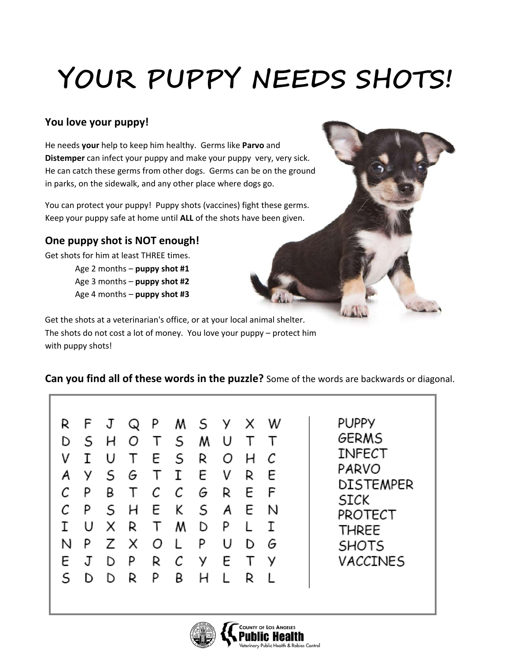# **YOUR PUPPY NEEDS SHOTS!**

### **You love your puppy!**

He needs **your** help to keep him healthy. Germs like **Parvo** and **Distemper** can infect your puppy and make your puppy very, very sick. He can catch these germs from other dogs. Germs can be on the ground in parks, on the sidewalk, and any other place where dogs go.

You can protect your puppy! Puppy shots (vaccines) fight these germs. Keep your puppy safe at home until **ALL** of the shots have been given.

#### **One puppy shot is NOT enough!**

Get shots for him at least THREE times. Age 2 months – **puppy shot #1**

Age 3 months – **puppy shot #2** Age 4 months – **puppy shot #3**

Get the shots at a veterinarian's office, or at your local animal shelter. The shots do not cost a lot of money. You love your puppy – protect him with puppy shots!

#### **Can you find all of these words in the puzzle?** Some of the words are backwards or diagonal.

**PUPPY GERMS INFECT** PARVO **DISTEMPER SICK** PROTECT **THREE SHOTS** VACCINES